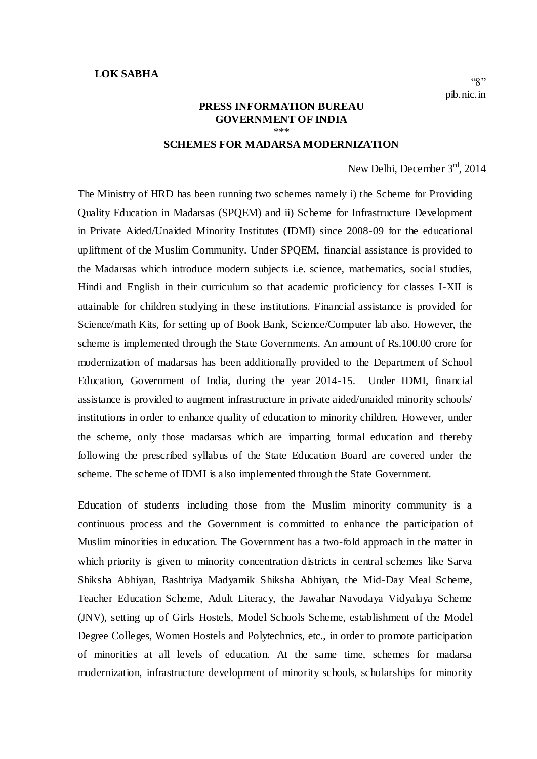$\alpha$   $\gamma$ pib.nic.in

## **PRESS INFORMATION BUREAU GOVERNMENT OF INDIA** \*\*\*

## **SCHEMES FOR MADARSA MODERNIZATION**

New Delhi, December 3<sup>rd</sup>, 2014

The Ministry of HRD has been running two schemes namely i) the Scheme for Providing Quality Education in Madarsas (SPQEM) and ii) Scheme for Infrastructure Development in Private Aided/Unaided Minority Institutes (IDMI) since 2008-09 for the educational upliftment of the Muslim Community. Under SPQEM, financial assistance is provided to the Madarsas which introduce modern subjects i.e. science, mathematics, social studies, Hindi and English in their curriculum so that academic proficiency for classes I-XII is attainable for children studying in these institutions. Financial assistance is provided for Science/math Kits, for setting up of Book Bank, Science/Computer lab also. However, the scheme is implemented through the State Governments. An amount of Rs.100.00 crore for modernization of madarsas has been additionally provided to the Department of School Education, Government of India, during the year 2014-15. Under IDMI, financial assistance is provided to augment infrastructure in private aided/unaided minority schools/ institutions in order to enhance quality of education to minority children. However, under the scheme, only those madarsas which are imparting formal education and thereby following the prescribed syllabus of the State Education Board are covered under the scheme. The scheme of IDMI is also implemented through the State Government.

Education of students including those from the Muslim minority community is a continuous process and the Government is committed to enhance the participation of Muslim minorities in education. The Government has a two-fold approach in the matter in which priority is given to minority concentration districts in central schemes like Sarva Shiksha Abhiyan, Rashtriya Madyamik Shiksha Abhiyan, the Mid-Day Meal Scheme, Teacher Education Scheme, Adult Literacy, the Jawahar Navodaya Vidyalaya Scheme (JNV), setting up of Girls Hostels, Model Schools Scheme, establishment of the Model Degree Colleges, Women Hostels and Polytechnics, etc., in order to promote participation of minorities at all levels of education. At the same time, schemes for madarsa modernization, infrastructure development of minority schools, scholarships for minority